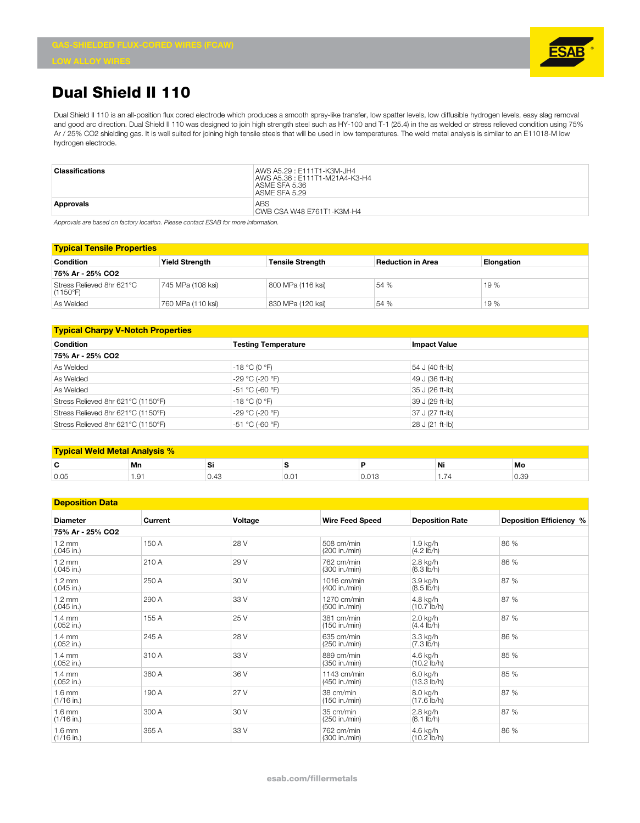

## **Dual Shield II 110**

Dual Shield II 110 is an all-position flux cored electrode which produces a smooth spray-like transfer, low spatter levels, low diffusible hydrogen levels, easy slag removal and good arc direction. Dual Shield II 110 was designed to join high strength steel such as HY-100 and T-1 (25.4) in the as welded or stress relieved condition using 75% Ar / 25% CO2 shielding gas. It is well suited for joining high tensile steels that will be used in low temperatures. The weld metal analysis is similar to an E11018-M low hydrogen electrode.

| Classifications | AWS A5.29 : E111T1-K3M-JH4<br>AWS A5.36: E111T1-M21A4-K3-H4<br>ASME SFA 5.36<br>ASME SFA 5.29 |
|-----------------|-----------------------------------------------------------------------------------------------|
| Approvals       | ABS<br>CWB CSA W48 E761T1-K3M-H4                                                              |

*Approvals are based on factory location. Please contact ESAB for more information.*

| <b>Typical Tensile Properties</b>     |                       |                         |                          |                   |  |  |
|---------------------------------------|-----------------------|-------------------------|--------------------------|-------------------|--|--|
| <b>Condition</b>                      | <b>Yield Strength</b> | <b>Tensile Strength</b> | <b>Reduction in Area</b> | <b>Elongation</b> |  |  |
| 75% Ar - 25% CO2                      |                       |                         |                          |                   |  |  |
| Stress Relieved 8hr 621°C<br>(1150°F) | 745 MPa (108 ksi)     | 800 MPa (116 ksi)       | 54 %                     | 19 %              |  |  |
| As Welded                             | 760 MPa (110 ksi)     | 830 MPa (120 ksi)       | 54 %                     | 19 %              |  |  |

| <b>Typical Charpy V-Notch Properties</b> |                            |                     |  |  |  |
|------------------------------------------|----------------------------|---------------------|--|--|--|
| <b>Condition</b>                         | <b>Testing Temperature</b> | <b>Impact Value</b> |  |  |  |
| 75% Ar - 25% CO2                         |                            |                     |  |  |  |
| As Welded                                | $-18 °C (0 °F)$            | 54 J (40 ft-lb)     |  |  |  |
| As Welded                                | -29 °C (-20 °F)            | 49 J (36 ft-lb)     |  |  |  |
| As Welded                                | -51 °C (-60 °F)            | 35 J (26 ft-lb)     |  |  |  |
| Stress Relieved 8hr 621°C (1150°F)       | $-18 °C (0 °F)$            | 39 J (29 ft-lb)     |  |  |  |
| Stress Relieved 8hr 621°C (1150°F)       | -29 °C (-20 °F)            | 37 J (27 ft-lb)     |  |  |  |
| Stress Relieved 8hr 621°C (1150°F)       | -51 °C (-60 °F)            | 28 J (21 ft-lb)     |  |  |  |

| <b>Typical Weld Metal Analysis %</b> |      |      |               |       |    |                       |
|--------------------------------------|------|------|---------------|-------|----|-----------------------|
| $\overline{\phantom{a}}$<br>u        | Mn   | וכ   |               |       | Ni | Mo                    |
| 0.05                                 | 1.91 | U.40 | $0.0^{\circ}$ | 0.013 | .  | $\sim$<br>$-$<br>ບ.ວອ |

## **Deposition Data**

| <b>Diameter</b>                  | Current | Voltage | <b>Wire Feed Speed</b>         | <b>Deposition Rate</b>           | Deposition Efficiency % |  |
|----------------------------------|---------|---------|--------------------------------|----------------------------------|-------------------------|--|
| 75% Ar - 25% CO2                 |         |         |                                |                                  |                         |  |
| $1.2 \text{ mm}$<br>$(.045$ in.) | 150 A   | 28 V    | 508 cm/min<br>(200 in./min)    | 1.9 kg/h<br>$(4.2 \text{ lb/h})$ | 86 %                    |  |
| $1.2 \text{ mm}$<br>$(.045$ in.) | 210 A   | 29 V    | 762 cm/min<br>(300 in./min)    | 2.8 kg/h<br>(6.3 lb/h)           | 86 %                    |  |
| $1.2 \text{ mm}$<br>$(.045$ in.) | 250 A   | 30 V    | 1016 cm/min<br>(400 in./min)   | 3.9 kg/h<br>$(8.5 \text{ lb/h})$ | 87 %                    |  |
| $1.2 \text{ mm}$<br>$(.045$ in.) | 290 A   | 33 V    | 1270 cm/min<br>(500 in./min)   | 4.8 kg/h<br>$(10.7$ lb/h)        | 87 %                    |  |
| $1.4 \text{ mm}$<br>$(.052$ in.) | 155 A   | 25 V    | 381 cm/min<br>(150 in./min)    | 2.0 kg/h<br>$(4.4$ lb/h)         | 87 %                    |  |
| $1.4 \text{ mm}$<br>$(.052$ in.) | 245 A   | 28 V    | 635 cm/min<br>(250 in./min)    | 3.3 kg/h<br>(7.3 lb/h)           | 86 %                    |  |
| $1.4 \text{ mm}$<br>$(.052$ in.) | 310 A   | 33 V    | 889 cm/min<br>(350 in./min)    | 4.6 kg/h<br>$(10.2$ lb/h)        | 85 %                    |  |
| $1.4 \text{ mm}$<br>$(.052$ in.) | 360 A   | 36 V    | $1143$ cm/min<br>(450 in./min) | 6.0 kg/h<br>$(13.3$ lb/h)        | 85 %                    |  |
| $1.6$ mm<br>$(1/16$ in.)         | 190 A   | 27 V    | 38 cm/min<br>(150 in./min)     | 8.0 kg/h<br>$(17.6$ lb/h)        | 87 %                    |  |
| $1.6 \text{ mm}$<br>$(1/16$ in.) | 300 A   | 30 V    | 35 cm/min<br>(250 in./min)     | 2.8 kg/h<br>$(6.1$ lb/h)         | 87 %                    |  |
| $1.6$ mm<br>$(1/16$ in.)         | 365 A   | 33 V    | 762 cm/min<br>(300 in./min)    | 4.6 kg/h<br>$(10.2$ lb/h)        | 86 %                    |  |